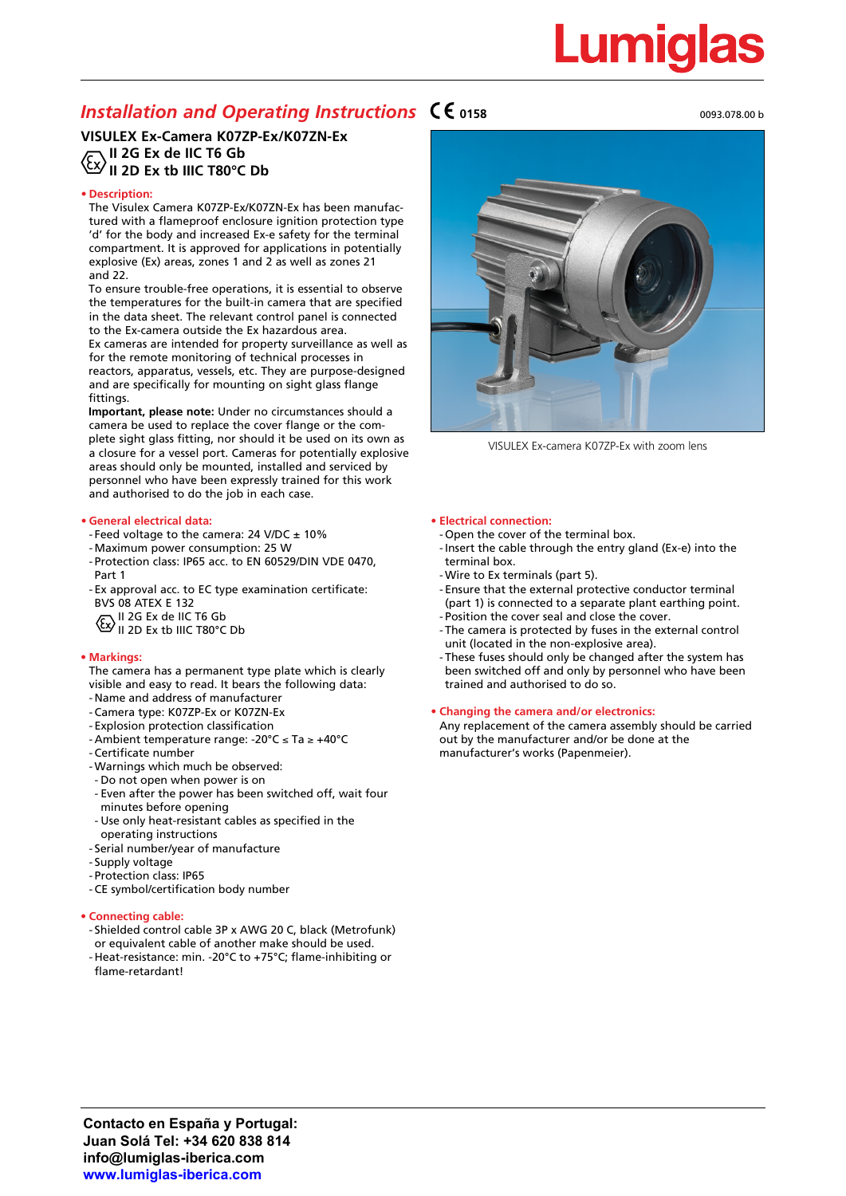# <u>Lumiglas</u>

## *Installation and Operating Instructions*  $\mathsf{C}\mathsf{C}$ <sub>0158</sub>

### **VISULEX Ex-Camera K07ZP-Ex/K07ZN-Ex II 2G Ex de IIC T6 Gb II 2D Ex tb IIIC T80°C Db**

#### **• Description:**

The Visulex Camera K07ZP-Ex/K07ZN-Ex has been manufactured with a flameproof enclosure ignition protection type 'd' for the body and increased Ex-e safety for the terminal compartment. It is approved for applications in potentially explosive (Ex) areas, zones 1 and 2 as well as zones 21 and 22.

To ensure trouble-free operations, it is essential to observe the temperatures for the built-in camera that are specified in the data sheet. The relevant control panel is connected to the Ex-camera outside the Ex hazardous area.

Ex cameras are intended for property surveillance as well as for the remote monitoring of technical processes in reactors, apparatus, vessels, etc. They are purpose-designed and are specifically for mounting on sight glass flange fittings.

**Important, please note:** Under no circumstances should a camera be used to replace the cover flange or the complete sight glass fitting, nor should it be used on its own as a closure for a vessel port. Cameras for potentially explosive areas should only be mounted, installed and serviced by personnel who have been expressly trained for this work and authorised to do the job in each case.

#### **• General electrical data:**

- Feed voltage to the camera:  $24$  V/DC  $\pm$  10%
- -Maximum power consumption: 25 W
- Protection class: IP65 acc. to EN 60529/DIN VDE 0470, Part 1
- Ex approval acc. to EC type examination certificate: BVS 08 ATEX E 132

II 2G Ex de IIC T6 Gb

II 2D Ex tb IIIC T80°C Db

#### **• Markings:**

- The camera has a permanent type plate which is clearly visible and easy to read. It bears the following data:
- Name and address of manufacturer
- Camera type: K07ZP-Ex or K07ZN-Ex
- Explosion protection classification
- Ambient temperature range: -20°C ≤ Ta ≥ +40°C
- Certificate number
- -Warnings which much be observed:
- Do not open when power is on
- Even after the power has been switched off, wait four minutes before opening
- Use only heat-resistant cables as specified in the operating instructions
- Serial number/year of manufacture
- Supply voltage
- Protection class: IP65
- CE symbol/certification body number

#### **• Connecting cable:**

- Shielded control cable 3P x AWG 20 C, black (Metrofunk) or equivalent cable of another make should be used.
- Heat-resistance: min. -20°C to +75°C; flame-inhibiting or flame-retardant!







VISULEX Ex-camera K07ZP-Ex with zoom lens

#### **• Electrical connection:**

- Open the cover of the terminal box.
- -Insert the cable through the entry gland (Ex-e) into the terminal box.
- -Wire to Ex terminals (part 5).
- Ensure that the external protective conductor terminal (part 1) is connected to a separate plant earthing point. - Position the cover seal and close the cover.
- The camera is protected by fuses in the external control unit (located in the non-explosive area).
- These fuses should only be changed after the system has been switched off and only by personnel who have been trained and authorised to do so.

#### **• Changing the camera and/or electronics:**

Any replacement of the camera assembly should be carried out by the manufacturer and/or be done at the manufacturer's works (Papenmeier).